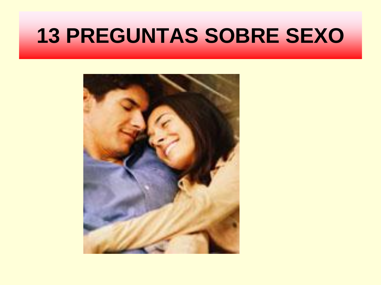### **13 PREGUNTAS SOBRE SEXO**

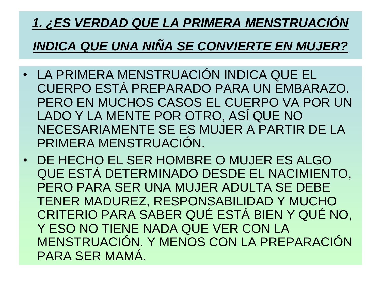## *1. ¿ES VERDAD QUE LA PRIMERA MENSTRUACIÓN*

#### *INDICA QUE UNA NIÑA SE CONVIERTE EN MUJER?*

- LA PRIMERA MENSTRUACIÓN INDICA QUE EL CUERPO ESTÁ PREPARADO PARA UN EMBARAZO. PERO EN MUCHOS CASOS EL CUERPO VA POR UN LADO Y LA MENTE POR OTRO, ASÍ QUE NO NECESARIAMENTE SE ES MUJER A PARTIR DE LA PRIMERA MENSTRUACIÓN.
- DE HECHO EL SER HOMBRE O MUJER ES ALGO QUE ESTÁ DETERMINADO DESDE EL NACIMIENTO, PERO PARA SER UNA MUJER ADULTA SE DEBE TENER MADUREZ, RESPONSABILIDAD Y MUCHO CRITERIO PARA SABER QUÉ ESTÁ BIEN Y QUÉ NO, Y ESO NO TIENE NADA QUE VER CON LA MENSTRUACIÓN. Y MENOS CON LA PREPARACIÓN PARA SER MAMÁ.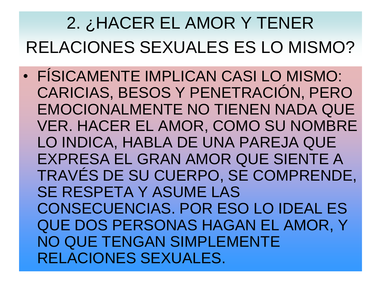#### 2. ¿HACER EL AMOR Y TENER RELACIONES SEXUALES ES LO MISMO?

• FÍSICAMENTE IMPLICAN CASI LO MISMO: CARICIAS, BESOS Y PENETRACIÓN, PERO EMOCIONALMENTE NO TIENEN NADA QUE VER. HACER EL AMOR, COMO SU NOMBRE LO INDICA, HABLA DE UNA PAREJA QUE EXPRESA EL GRAN AMOR QUE SIENTE A TRAVÉS DE SU CUERPO, SE COMPRENDE, SE RESPETA Y ASUME LAS CONSECUENCIAS. POR ESO LO IDEAL ES QUE DOS PERSONAS HAGAN EL AMOR, Y NO QUE TENGAN SIMPLEMENTE RELACIONES SEXUALES.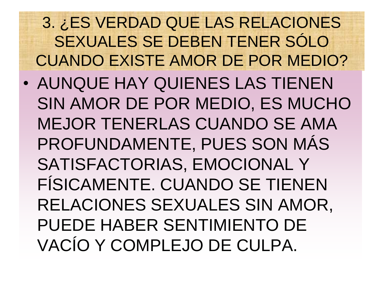3. ¿ES VERDAD QUE LAS RELACIONES SEXUALES SE DEBEN TENER SÓLO CUANDO EXISTE AMOR DE POR MEDIO?

• AUNQUE HAY QUIENES LAS TIENEN SIN AMOR DE POR MEDIO, ES MUCHO MEJOR TENERLAS CUANDO SE AMA PROFUNDAMENTE, PUES SON MÁS SATISFACTORIAS, EMOCIONAL Y FÍSICAMENTE. CUANDO SE TIENEN RELACIONES SEXUALES SIN AMOR, PUEDE HABER SENTIMIENTO DE VACÍO Y COMPLEJO DE CULPA.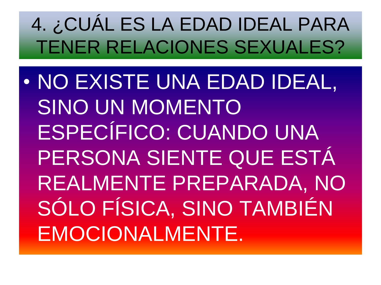### 4. ¿CUÁL ES LA EDAD IDEAL PARA TENER RELACIONES SEXUALES?

• NO EXISTE UNA EDAD IDEAL, SINO UN MOMENTO ESPECÍFICO: CUANDO UNA PERSONA SIENTE QUE ESTÁ REALMENTE PREPARADA, NO SÓLO FÍSICA, SINO TAMBIÉN EMOCIONALMENTE.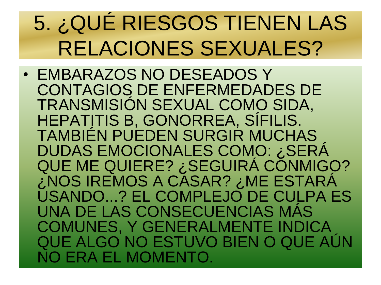## 5. ¿QUÉ RIESGOS TIENEN LAS RELACIONES SEXUALES?

• EMBARAZOS NO DESEADOS Y CONTAGIOS DE ENFERMEDADES DE TRANSMISIÓN SEXUAL COMO SIDA, HEPATITIS B, GONORREA, SIFILIS. TAMBIÉN PUEDEN SURGIR MUCHAS DUDAS EMOCIONALES COMO: ¿SERÁ QUE ME QUIERE? ¿SEGUIRÁ CONMIGO? ¿NOS IREMOS A CASAR? ¿ME ESTARÁ USANDO...? EL COMPLEJO DE CULPA ES UNA DE LAS CONSECUENCIAS MÁS COMUNES, Y GENERALMENTE INDICA QUE ALGO NO ESTUVO BIEN O QUE AÚN NO ERA EL MOMENTO.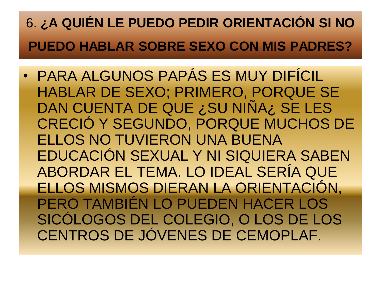#### 6. **¿A QUIÉN LE PUEDO PEDIR ORIENTACIÓN SI NO PUEDO HABLAR SOBRE SEXO CON MIS PADRES?**

• PARA ALGUNOS PAPÁS ES MUY DIFÍCIL HABLAR DE SEXO; PRIMERO, PORQUE SE DAN CUENTA DE QUE ¿SU NIÑA¿ SE LES CRECIÓ Y SEGUNDO, PORQUE MUCHOS DE ELLOS NO TUVIERON UNA BUENA EDUCACIÓN SEXUAL Y NI SIQUIERA SABEN ABORDAR EL TEMA. LO IDEAL SERÍA QUE ELLOS MISMOS DIERAN LA ORIENTACIÓN, PERO TAMBIÉN LO PUEDEN HACER LOS SICÓLOGOS DEL COLEGIO, O LOS DE LOS CENTROS DE JÓVENES DE CEMOPLAF.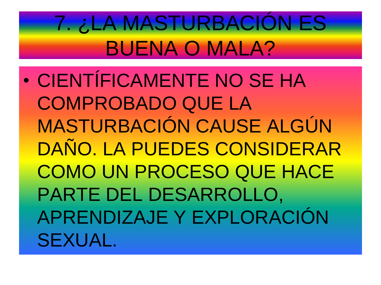## 7. ¿LA MASTURBACIÓN ES BUENA O MALA?

• CIENTÍFICAMENTE NO SE HA COMPROBADO QUE LA MASTURBACIÓN CAUSE ALGÚN DAÑO. LA PUEDES CONSIDERAR COMO UN PROCESO QUE HACE PARTE DEL DESARROLLO, APRENDIZAJE Y EXPLORACIÓN SEXUAL.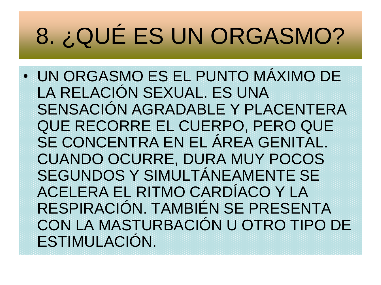# 8. ¿QUÉ ES UN ORGASMO?

• UN ORGASMO ES EL PUNTO MÁXIMO DE LA RELACIÓN SEXUAL. ES UNA SENSACIÓN AGRADABLE Y PLACENTERA QUE RECORRE EL CUERPO, PERO QUE SE CONCENTRA EN EL ÁREA GENITAL. CUANDO OCURRE, DURA MUY POCOS SEGUNDOS Y SIMULTÁNEAMENTE SE ACELERA EL RITMO CARDÍACO Y LA RESPIRACIÓN. TAMBIÉN SE PRESENTA CON LA MASTURBACIÓN U OTRO TIPO DE ESTIMULACIÓN.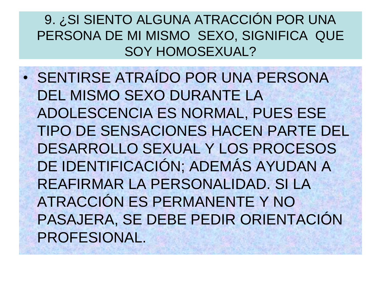9. ¿SI SIENTO ALGUNA ATRACCIÓN POR UNA PERSONA DE MI MISMO SEXO, SIGNIFICA QUE SOY HOMOSEXUAL?

• SENTIRSE ATRAÍDO POR UNA PERSONA DEL MISMO SEXO DURANTE LA ADOLESCENCIA ES NORMAL, PUES ESE TIPO DE SENSACIONES HACEN PARTE DEL DESARROLLO SEXUAL Y LOS PROCESOS DE IDENTIFICACIÓN; ADEMÁS AYUDAN A REAFIRMAR LA PERSONALIDAD. SI LA ATRACCIÓN ES PERMANENTE Y NO PASAJERA, SE DEBE PEDIR ORIENTACIÓN PROFESIONAL.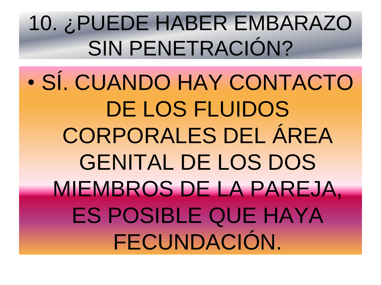10. ¿PUEDE HABER EMBARAZO SIN PENETRACIÓN?

• SÍ. CUANDO HAY CONTACTO DE LOS FLUIDOS CORPORALES DEL ÁREA GENITAL DE LOS DOS MIEMBROS DE LA PAREJA, ES POSIBLE QUE HAYA FECUNDACIÓN.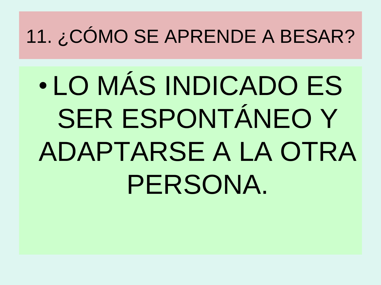11. ¿CÓMO SE APRENDE A BESAR?

• LO MÁS INDICADO ES SER ESPONTÁNEO Y ADAPTARSE A LA OTRA PERSONA.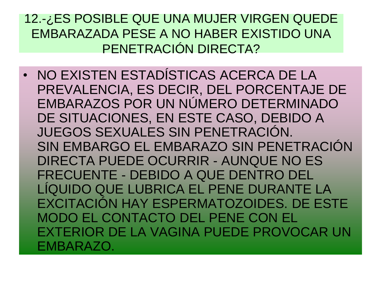12.-¿ES POSIBLE QUE UNA MUJER VIRGEN QUEDE EMBARAZADA PESE A NO HABER EXISTIDO UNA PENETRACIÓN DIRECTA?

• NO EXISTEN ESTADÍSTICAS ACERCA DE LA PREVALENCIA, ES DECIR, DEL PORCENTAJE DE EMBARAZOS POR UN NÚMERO DETERMINADO DE SITUACIONES, EN ESTE CASO, DEBIDO A JUEGOS SEXUALES SIN PENETRACIÓN. SIN EMBARGO EL EMBARAZO SIN PENETRACIÓN DIRECTA PUEDE OCURRIR - AUNQUE NO ES FRECUENTE - DEBIDO A QUE DENTRO DEL LÍQUIDO QUE LUBRICA EL PENE DURANTE LA EXCITACIÓN HAY ESPERMATOZOIDES. DE ESTE MODO EL CONTACTO DEL PENE CON EL EXTERIOR DE LA VAGINA PUEDE PROVOCAR UN EMBARAZO.